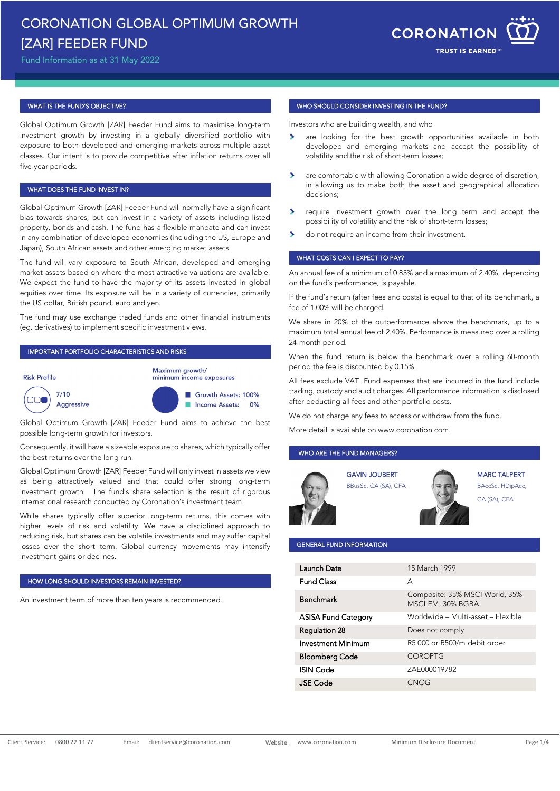# CORONATION GLOBAL OPTIMUM GROWTH [ZAR] FEEDER FUND

Fund Information as at 31 May 2022



#### WHAT IS THE FUND'S OBJECTIVE?

Global Optimum Growth [ZAR] Feeder Fund aims to maximise long-term investment growth by investing in a globally diversified portfolio with exposure to both developed and emerging markets across multiple asset classes. Our intent is to provide competitive after inflation returns over all five-year periods.

### WHAT DOES THE FUND INVEST IN?

Global Optimum Growth [ZAR] Feeder Fund will normally have a significant bias towards shares, but can invest in a variety of assets including listed property, bonds and cash. The fund has a flexible mandate and can invest in any combination of developed economies (including the US, Europe and Japan), South African assets and other emerging market assets.

The fund will vary exposure to South African, developed and emerging market assets based on where the most attractive valuations are available. We expect the fund to have the majority of its assets invested in global equities over time. Its exposure will be in a variety of currencies, primarily the US dollar, British pound, euro and yen.

The fund may use exchange traded funds and other financial instruments (eg. derivatives) to implement specific investment views.

#### IMPORTANT PORTFOLIO CHARACTERISTICS AND RISKS







Global Optimum Growth [ZAR] Feeder Fund aims to achieve the best possible long-term growth for investors.

Consequently, it will have a sizeable exposure to shares, which typically offer the best returns over the long run.

Global Optimum Growth [ZAR] Feeder Fund will only invest in assets we view as being attractively valued and that could offer strong long-term investment growth. The fund's share selection is the result of rigorous international research conducted by Coronation's investment team.

While shares typically offer superior long-term returns, this comes with higher levels of risk and volatility. We have a disciplined approach to reducing risk, but shares can be volatile investments and may suffer capital losses over the short term. Global currency movements may intensify investment gains or declines.

#### HOW LONG SHOULD INVESTORS REMAIN INVESTED?

An investment term of more than ten years is recommended.

#### WHO SHOULD CONSIDER INVESTING IN THE FUND?

Investors who are building wealth, and who

- $\rightarrow$ are looking for the best growth opportunities available in both developed and emerging markets and accept the possibility of volatility and the risk of short-term losses;
- are comfortable with allowing Coronation a wide degree of discretion, in allowing us to make both the asset and geographical allocation decisions;
- require investment growth over the long term and accept the possibility of volatility and the risk of short-term losses;
- do not require an income from their investment.

#### WHAT COSTS CAN I EXPECT TO PAY?

An annual fee of a minimum of 0.85% and a maximum of 2.40%, depending on the fund's performance, is payable.

If the fund's return (after fees and costs) is equal to that of its benchmark, a fee of 1.00% will be charged.

We share in 20% of the outperformance above the benchmark, up to a maximum total annual fee of 2.40%. Performance is measured over a rolling 24-month period.

When the fund return is below the benchmark over a rolling 60-month period the fee is discounted by 0.15%.

All fees exclude VAT. Fund expenses that are incurred in the fund include trading, custody and audit charges. All performance information is disclosed after deducting all fees and other portfolio costs.

We do not charge any fees to access or withdraw from the fund.

More detail is available o[n www.coronation.com.](http://www.coronation.com/) 

## WHO ARE THE FUND MANAGERS?

GAVIN JOUBERT BBusSc, CA (SA), CFA





#### GENERAL FUND INFORMATION

| Launch Date                | 15 March 1999                                       |
|----------------------------|-----------------------------------------------------|
| <b>Fund Class</b>          | А                                                   |
| Benchmark                  | Composite: 35% MSCI World, 35%<br>MSCI EM, 30% BGBA |
| <b>ASISA Fund Category</b> | Worldwide - Multi-asset - Flexible                  |
| Regulation 28              | Does not comply                                     |
| Investment Minimum         | R5000 or R500/m debit order                         |
| <b>Bloomberg Code</b>      | <b>COROPTG</b>                                      |
| <b>ISIN Code</b>           | ZAE000019782                                        |
| JSE Code                   | ( :N( )( <del>.</del>                               |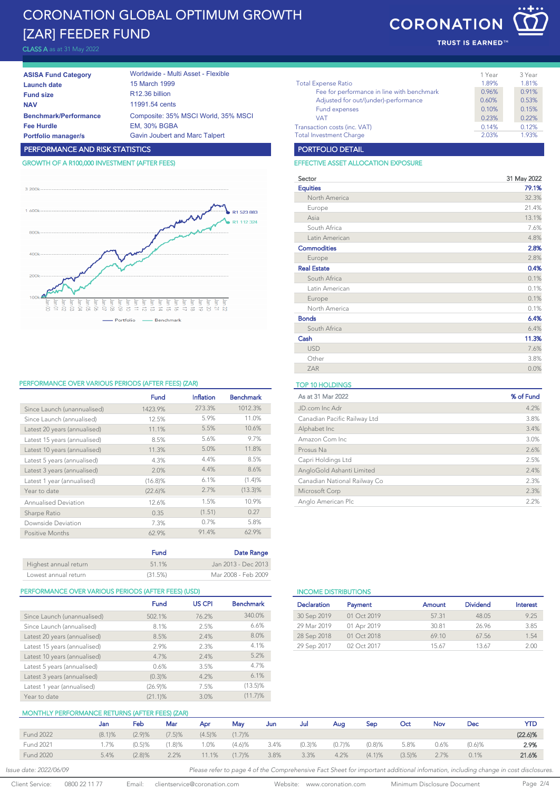# CORONATION GLOBAL OPTIMUM GROWTH [ZAR] FEEDER FUND

CLASS A as at 31 May 2022

| <b>ASISA Fund Category</b>   | Worldwide - Multi Asset - Flexible    |
|------------------------------|---------------------------------------|
| Launch date                  | 15 March 1999                         |
| <b>Fund size</b>             | R <sub>12.36</sub> billion            |
| <b>NAV</b>                   | 11991.54 cents                        |
| <b>Benchmark/Performance</b> | Composite: 35% MSCI World, 35% MSCI   |
| <b>Fee Hurdle</b>            | <b>EM. 30% BGBA</b>                   |
| <b>Portfolio manager/s</b>   | <b>Gavin Joubert and Marc Talpert</b> |
|                              |                                       |

# PERFORMANCE AND RISK STATISTICS

# GROWTH OF A R100,000 INVESTMENT (AFTER FEES)



### PERFORMANCE OVER VARIOUS PERIODS (AFTER FEES) (ZAR) TOP 10 HOLDINGS

|                              | <b>Fund</b> | Inflation | <b>Benchmark</b> |
|------------------------------|-------------|-----------|------------------|
| Since Launch (unannualised)  | 1423.9%     | 273.3%    | 1012.3%          |
| Since Launch (annualised)    | 12.5%       | 5.9%      | 11.0%            |
| Latest 20 years (annualised) | 11.1%       | 5.5%      | 10.6%            |
| Latest 15 years (annualised) | 8.5%        | 5.6%      | 9.7%             |
| Latest 10 years (annualised) | 11.3%       | 5.0%      | 11.8%            |
| Latest 5 years (annualised)  | 4.3%        | 4.4%      | 8.5%             |
| Latest 3 years (annualised)  | 2.0%        | 4.4%      | 8.6%             |
| Latest 1 year (annualised)   | $(16.8)\%$  | 6.1%      | (1.4)%           |
| Year to date                 | $(22.6)\%$  | 2.7%      | $(13.3)\%$       |
| <b>Annualised Deviation</b>  | 12.6%       | 1.5%      | 10.9%            |
| Sharpe Ratio                 | 0.35        | (1.51)    | 0.27             |
| Downside Deviation           | 7.3%        | 0.7%      | 5.8%             |
| Positive Months              | 62.9%       | 91.4%     | 62.9%            |
|                              | Fund        |           | Date Range       |

| Highest annual return | 51 1%   | Jan 2013 - Dec 2013 |
|-----------------------|---------|---------------------|
| Lowest annual return  | (31.5%) | Mar 2008 - Feb 2009 |

#### PERFORMANCE OVER VARIOUS PERIODS (AFTER FEES) (USD) INCOME DISTRIBUTIONS

|                              | <b>Fund</b> | <b>US CPI</b> | <b>Benchmark</b> |
|------------------------------|-------------|---------------|------------------|
| Since Launch (unannualised)  | 502.1%      | 76.2%         | 340.0%           |
| Since Launch (annualised)    | 8.1%        | 2.5%          | 6.6%             |
| Latest 20 years (annualised) | 8.5%        | 2.4%          | 8.0%             |
| Latest 15 years (annualised) | 2.9%        | 2.3%          | 4.1%             |
| Latest 10 years (annualised) | 4.7%        | 2.4%          | 5.2%             |
| Latest 5 years (annualised)  | 0.6%        | 3.5%          | 4.7%             |
| Latest 3 years (annualised)  | (0.3)%      | 4.2%          | 6.1%             |
| Latest 1 year (annualised)   | $(26.9)\%$  | 7.5%          | $(13.5)\%$       |
| Year to date                 | $(21.1)\%$  | 3.0%          | (11.7)%          |

# **CORONATION**

TRUST IS EARNED<sup>16</sup>

|                                            | 1 Year | 3 Year |
|--------------------------------------------|--------|--------|
| <b>Total Expense Ratio</b>                 | 1.89%  | 1.81%  |
| Fee for performance in line with benchmark | 0.96%  | 0.91%  |
| Adjusted for out/(under)-performance       | 0.60%  | 0.53%  |
| Fund expenses                              | 0.10%  | 0.15%  |
| <b>VAT</b>                                 | 0.23%  | 0.22%  |
| Transaction costs (inc. VAT)               | 0.14%  | 0.12%  |
| <b>Total Investment Charge</b>             | 2.03%  | 1.93%  |

#### PORTFOLIO DETAIL

#### EFFECTIVE ASSET ALLOCATION EXPOSURE

| Sector             | 31 May 2022 |
|--------------------|-------------|
| <b>Equities</b>    | 79.1%       |
| North America      | 32.3%       |
| Europe             | 21.4%       |
| Asia               | 13.1%       |
| South Africa       | 7.6%        |
| Latin American     | 4.8%        |
| <b>Commodities</b> | 2.8%        |
| Europe             | 2.8%        |
| <b>Real Estate</b> | 0.4%        |
| South Africa       | 0.1%        |
| Latin American     | 0.1%        |
| Europe             | 0.1%        |
| North America      | 0.1%        |
| <b>Bonds</b>       | 6.4%        |
| South Africa       | 6.4%        |
| Cash               | 11.3%       |
| <b>USD</b>         | 7.6%        |
| Other              | 3.8%        |
| <b>ZAR</b>         | 0.0%        |

| As at 31 Mar 2022            | % of Fund |
|------------------------------|-----------|
| JD.com Inc Adr               | 4.2%      |
| Canadian Pacific Railway Ltd | 3.8%      |
| Alphabet Inc                 | 3.4%      |
| Amazon Com Inc.              | 3.0%      |
| Prosus Na                    | 2.6%      |
| Capri Holdings Ltd           | 2.5%      |
| AngloGold Ashanti Limited    | 2.4%      |
| Canadian National Railway Co | 2.3%      |
| Microsoft Corp               | 2.3%      |
| Anglo American Plc           | 2.2%      |

# Declaration Payment **Amount** Dividend Interest 30 Sep 2019 01 Oct 2019 57.31 48.05 9.25 29 Mar 2019 01 Apr 2019 30.81 26.96 3.85 28 Sep 2018 01 Oct 2018 69.10 67.56 1.54 29 Sep 2017 02 Oct 2017 15.67 13.67 2.00

# MONTHLY PERFORMANCE RETURNS (AFTER FEES) (ZAR)

| <b>THE REAL PROPERTY OF THE CONTROL TENT ELOY (LANS</b> |           |           |           |           |        |      |        |        |           |           |            |           |         |
|---------------------------------------------------------|-----------|-----------|-----------|-----------|--------|------|--------|--------|-----------|-----------|------------|-----------|---------|
|                                                         | Jan       | Feb       | Mar       | Apr       | Mav    | Jun  | Jul    | Aua    | Sec       | Oct       | <b>Nov</b> | Dec       | YTD     |
| <b>Fund 2022</b>                                        | $(8.1)$ % | (2.9)%    | (7.5)%    | $(4.5)\%$ | (1.7)% |      |        |        |           |           |            |           | (22.6)% |
| <b>Fund 2021</b>                                        | .7%       | $(0.5)$ % | $(1.8)\%$ | $.0\%$    | (4.6)% | 3.4% | (0.3)% | (0.7)% | $(0.8)$ % | 5.8%      | 0.6%       | $(0.6)$ % | 2.9%    |
| <b>Fund 2020</b>                                        | 5.4%      | (2.8)%    | 2.2%      | $11.1\%$  | (1.7)% | 3.8% | 3.3%   | 4.2%   | (4.1)%    | $(3.5)\%$ | 2.7%       | 0.1%      | 21.6%   |

Client Service: 0800 22 11 77 Email: clientservice@coronation.com Website: www.coronation.com Minimum Disclosure Document Page 2/4

Issue date: 2022/06/09 **Please refer to page 4 of the Comprehensive Fact Sheet for important additional infomation, including change in cost disclosures.**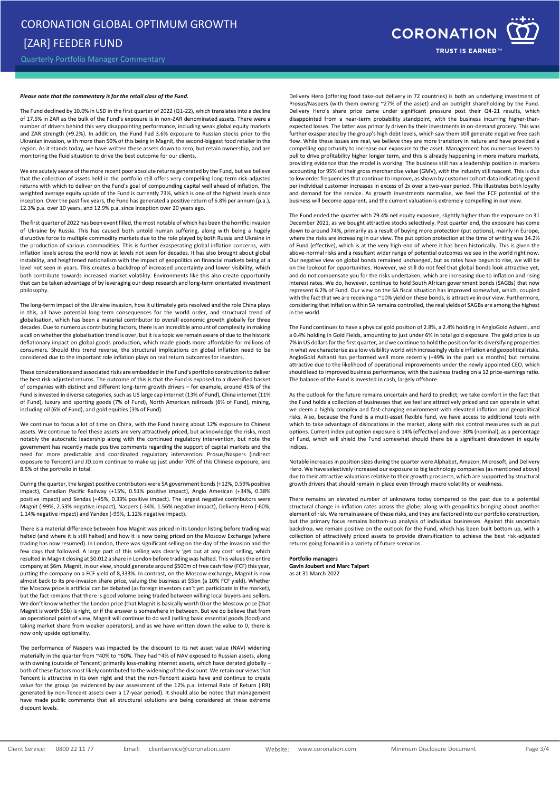Quarterly Portfolio Manager Commentary

#### *Please note that the commentary is for the retail class of the Fund.*

The Fund declined by 10.0% in USD in the first quarter of 2022 (Q1-22), which translates into a decline of 17.5% in ZAR as the bulk of the Fund's exposure is in non-ZAR denominated assets. There were a number of drivers behind this very disappointing performance, including weak global equity markets and ZAR strength (+9.2%). In addition, the Fund had 3.6% exposure to Russian stocks prior to the Ukranian invasion, with more than 50% of this being in Magnit, the second-biggest food retailer in the region. As it stands today, we have written these assets down to zero, but retain ownership, and are monitoring the fluid situation to drive the best outcome for our clients.

We are acutely aware of the more recent poor absolute returns generated by the Fund, but we believe that the collection of assets held in the portfolio still offers very compelling long-term risk-adjusted returns with which to deliver on the Fund's goal of compounding capital well ahead of inflation. The weighted average equity upside of the Fund is currently 73%, which is one of the highest levels since inception. Over the past five years, the Fund has generated a positive return of 6.8% per annum (p.a.), 12.3% p.a. over 10 years, and 12.9% p.a. since inception over 20 years ago.

The first quarter of 2022 has been event filled, the most notable of which has been the horrific invasion of Ukraine by Russia. This has caused both untold human suffering, along with being a hugely disruptive force to multiple commodity markets due to the role played by both Russia and Ukraine in the production of various commodities. This is further exasperating global inflation concerns, with inflation levels across the world now at levels not seen for decades. It has also brought about global instability, and heightened nationalism with the impact of geopolitics on financial markets being at a level not seen in years. This creates a backdrop of increased uncertainty and lower visibility, which both contribute towards increased market volatility. Environments like this also create opportunity that can be taken advantage of by leveraging our deep research and long-term orientated investment philosophy.

The long-term impact of the Ukraine invasion, how it ultimately gets resolved and the role China plays in this, all have potential long-term consequences for the world order, and structural trend of globalisation, which has been a material contributor to overall economic growth globally for three decades. Due to numerous contributing factors, there is an incredible amount of complexity in making a call on whether the globalisation trend is over, but it is a topic we remain aware of due to the historic deflationary impact on global goods production, which made goods more affordable for millions of consumers. Should this trend reverse, the structural implications on global inflation need to be considered due to the important role inflation plays on real return outcomes for investors.

These considerations and associated risks are embedded in the Fund's portfolio construction to deliver the best risk-adjusted returns. The outcome of this is that the Fund is exposed to a diversified basket of companies with distinct and different long-term growth drivers – for example, around 45% of the Fund is invested in diverse categories, such as US large cap internet (13% of Fund), China internet (11% of Fund), luxury and sporting goods (7% of Fund), North American railroads (6% of Fund), mining, including oil (6% of Fund), and gold equities (3% of Fund).

We continue to focus a lot of time on China, with the Fund having about 12% exposure to Chinese assets. We continue to feel these assets are very attractively priced, but acknowledge the risks, most notably the autocratic leadership along with the continued regulatory intervention, but note the government has recently made positive comments regarding the support of capital markets and the need for more predictable and coordinated regulatory intervention. Prosus/Naspers (indirect exposure to Tencent) and JD.com continue to make up just under 70% of this Chinese exposure, and 8.5% of the portfolio in total.

During the quarter, the largest positive contributors were SA government bonds (+12%, 0.59% positive impact), Canadian Pacific Railway (+15%, 0.51% positive impact), Anglo American (+34%, 0.38% positive impact) and Sendas (+45%, 0.33% positive impact). The largest negative contributors were Magnit (-99%, 2.53% negative impact), Naspers (-34%, 1.56% negative impact), Delivery Hero (-60%, 1.14% negative impact) and Yandex (-99%, 1.12% negative impact).

There is a material difference between how Magnit was priced in its London listing before trading was halted (and where it is still halted) and how it is now being priced on the Moscow Exchange (where trading has now resumed). In London, there was significant selling on the day of the invasion and the few days that followed. A large part of this selling was clearly 'get out at any cost' selling, which resulted in Magnit closing at \$0.012 a share in London before trading was halted. This values the entire company at \$6m. Magnit, in our view, should generate around \$500m of free cash flow (FCF) this year, putting the company on a FCF yield of 8,333%. In contrast, on the Moscow exchange, Magnit is now almost back to its pre-invasion share price, valuing the business at \$5bn (a 10% FCF yield). Whether the Moscow price is artificial can be debated (as foreign investors can't yet participate in the market), but the fact remains that there is good volume being traded between willing local buyers and sellers. We don't know whether the London price (that Magnit is basically worth 0) or the Moscow price (that Magnit is worth \$5b) is right, or if the answer is somewhere in between. But we do believe that from an operational point of view, Magnit will continue to do well (selling basic essential goods (food) and taking market share from weaker operators), and as we have written down the value to 0, there is now only upside optionality.

The performance of Naspers was impacted by the discount to its net asset value (NAV) widening materially in the quarter from ~40% to ~60%. They had ~4% of NAV exposed to Russian assets, along with owning (outside of Tencent) primarily loss-making internet assets, which have derated globally both of these factors most likely contributed to the widening of the discount. We retain our views that Tencent is attractive in its own right and that the non-Tencent assets have and continue to create value for the group (as evidenced by our assessment of the 12% p.a. Internal Rate of Return (IRR) generated by non-Tencent assets over a 17-year period). It should also be noted that management have made public comments that all structural solutions are being considered at these extreme discount levels.



Delivery Hero (offering food take-out delivery in 72 countries) is both an underlying investment of Prosus/Naspers (with them owning ~27% of the asset) and an outright shareholding by the Fund. Delivery Hero's share price came under significant pressure post their Q4-21 results, which disappointed from a near-term probability standpoint, with the business incurring higher-thanexpected losses. The latter was primarily driven by their investments in on-demand grocery. This was further exasperated by the group's high debt levels, which saw them still generate negative free cash flow. While these issues are real, we believe they are more transitory in nature and have provided a compelling opportunity to increase our exposure to the asset. Management has numerous levers to pull to drive profitability higher longer term, and this is already happening in more mature markets, providing evidence that the model is working. The business still has a leadership position in markets accounting for 95% of their gross merchandise value (GMV), with the industry still nascent. This is due to low order frequencies that continue to improve, as shown by customer cohort data indicating spend per individual customer increases in excess of 2x over a two-year period. This illustrates both loyalty and demand for the service. As growth investments normalise, we feel the FCF potential of the business will become apparent, and the current valuation is extremely compelling in our view.

The Fund ended the quarter with 79.4% net equity exposure, slightly higher than the exposure on 31 December 2021, as we bought attractive stocks selectively. Post quarter end, the exposure has come down to around 74%, primarily as a result of buying more protection (put options), mainly in Europe, where the risks are increasing in our view. The put option protection at the time of writing was 14.2% of Fund (effective), which is at the very high-end of where it has been historically. This is given the above-normal risks and a resultant wider range of potential outcomes we see in the world right now. Our negative view on global bonds remained unchanged, but as rates have begun to rise, we will be on the lookout for opportunities. However, we still do not feel that global bonds look attractive yet, and do not compensate you for the risks undertaken, which are increasing due to inflation and rising interest rates. We do, however, continue to hold South African government bonds (SAGBs) that now represent 6.2% of Fund. Our view on the SA fiscal situation has improved somewhat, which, coupled with the fact that we are receiving a ~10% yield on these bonds, is attractive in our view. Furthermore, considering that inflation within SA remains controlled, the real yields of SAGBs are among the highest in the world.

The Fund continues to have a physical gold position of 2.8%, a 2.4% holding in AngloGold Ashanti, and a 0.4% holding in Gold Fields, amounting to just under 6% in total gold exposure. The gold price is up 7% in US dollars for the first quarter, and we continue to hold the position for its diversifying properties in what we characterise as a low visibility world with increasingly visible inflation and geopolitical risks. AngloGold Ashanti has performed well more recently (+49% in the past six months) but remains attractive due to the likelihood of operational improvements under the newly appointed CEO, which should lead to improved business performance, with the business trading on a 12 price-earnings ratio. The balance of the Fund is invested in cash, largely offshore.

As the outlook for the future remains uncertain and hard to predict, we take comfort in the fact that the Fund holds a collection of businesses that we feel are attractively priced and can operate in what we deem a highly complex and fast-changing environment with elevated inflation and geopolitical risks. Also, because the Fund is a multi-asset flexible fund, we have access to additional tools with which to take advantage of dislocations in the market, along with risk control measures such as put options. Current index put option exposure is 14% (effective) and over 30% (nominal), as a percentage of Fund, which will shield the Fund somewhat should there be a significant drawdown in equity indices.

Notable increases in position sizes during the quarter were Alphabet, Amazon, Microsoft, and Delivery Hero. We have selectively increased our exposure to big technology companies (as mentioned above) due to their attractive valuations relative to their growth prospects, which are supported by structural growth drivers that should remain in place even through macro volatility or weakness.

There remains an elevated number of unknowns today compared to the past due to a potential structural change in inflation rates across the globe, along with geopolitics bringing about another element of risk. We remain aware of these risks, and they are factored into our portfolio construction, but the primary focus remains bottom-up analysis of individual businesses. Against this uncertain backdrop, we remain positive on the outlook for the Fund, which has been built bottom up, with a collection of attractively priced assets to provide diversification to achieve the best risk-adjusted returns going forward in a variety of future scenarios.

#### **Portfolio managers**

**Gavin Joubert and Marc Talpert** as at 31 March 2022